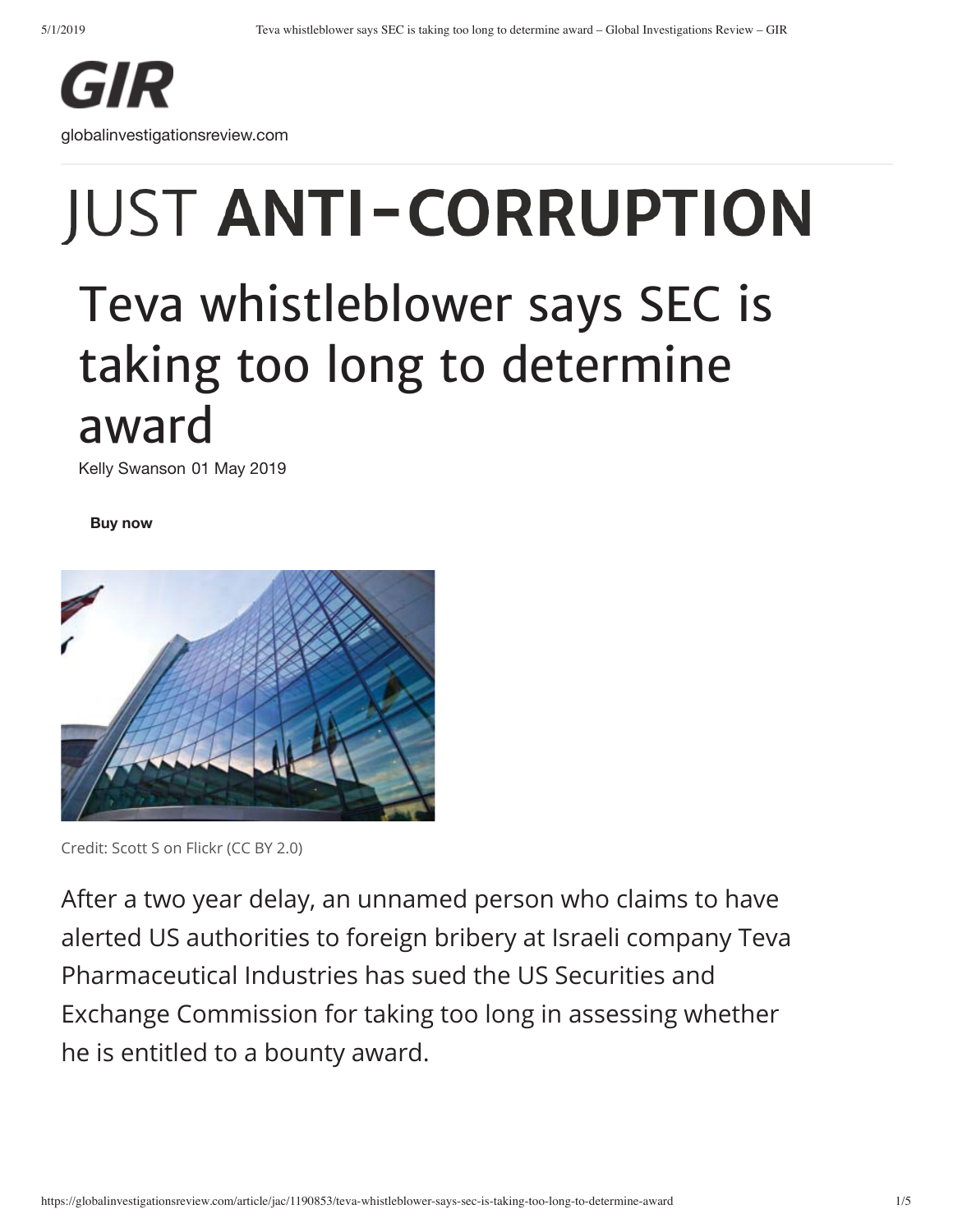

# **JUST ANTI-CORRUPTION**

# Teva whistleblower says SEC is taking too long to determine award

Kelly Swanson 01 May 2019

**Buy now**



Credit: Scott S on Flickr (CC BY 2.0)

After a two year delay, an unnamed person who claims to have alerted US authorities to foreign bribery at Israeli company Teva Pharmaceutical Industries has sued the US Securities and Exchange Commission for taking too long in assessing whether he is entitled to a bounty award.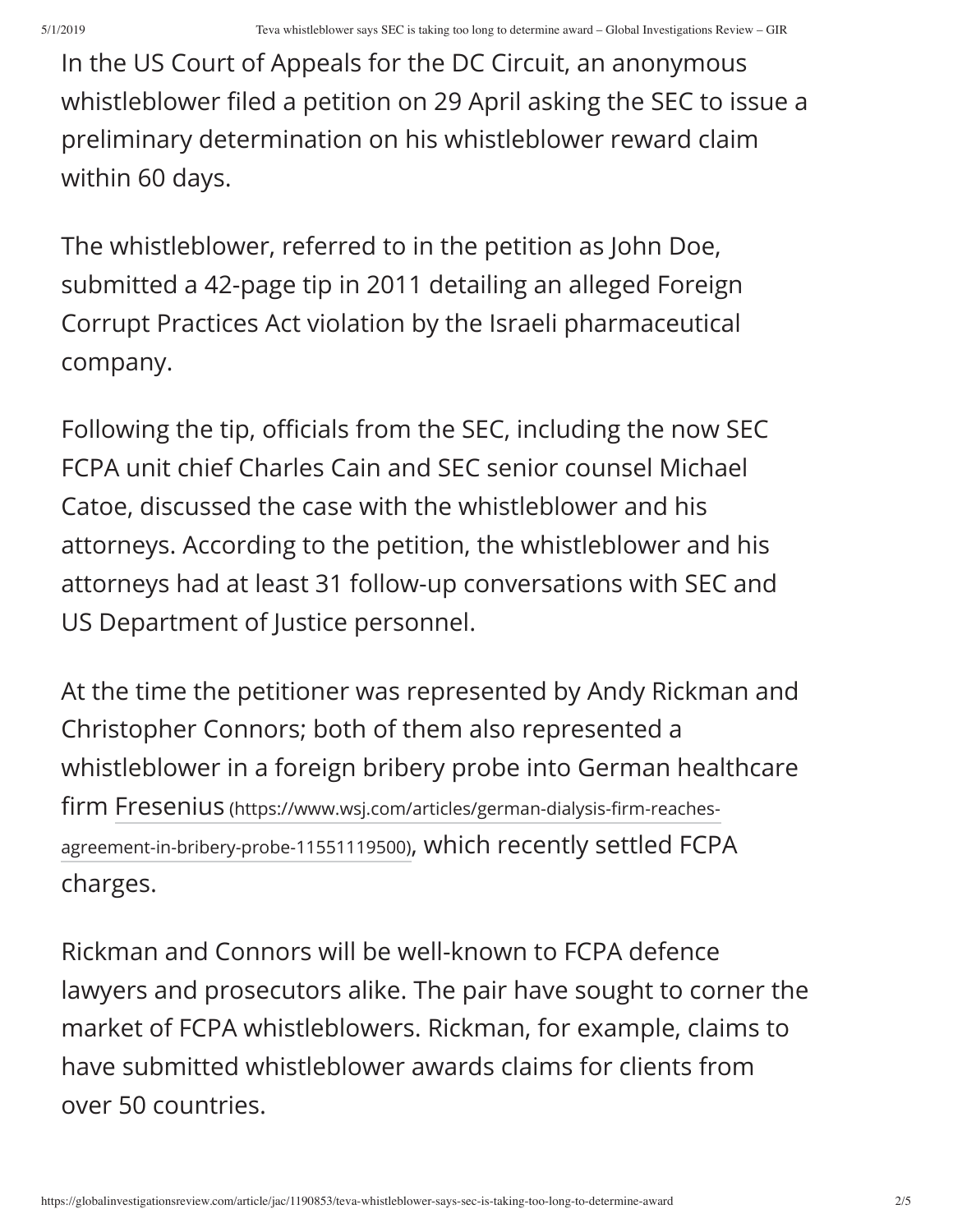In the US Court of Appeals for the DC Circuit, an anonymous whistleblower filed a petition on 29 April asking the SEC to issue a preliminary determination on his whistleblower reward claim within 60 days.

The whistleblower, referred to in the petition as John Doe, submitted a 42-page tip in 2011 detailing an alleged Foreign Corrupt Practices Act violation by the Israeli pharmaceutical company.

Following the tip, officials from the SEC, including the now SEC FCPA unit chief Charles Cain and SEC senior counsel Michael Catoe, discussed the case with the whistleblower and his attorneys. According to the petition, the whistleblower and his attorneys had at least 31 follow-up conversations with SEC and US Department of Justice personnel.

At the time the petitioner was represented by Andy Rickman and Christopher Connors; both of them also represented a whistleblower in a foreign bribery probe into German healthcare firm Fresenius (https://www.wsj.com/articles/german-dialysis-firm-reachesagreement-in-bribery-probe-11551119500), which recently settled FCPA charges.

Rickman and Connors will be well-known to FCPA defence lawyers and prosecutors alike. The pair have sought to corner the market of FCPA whistleblowers. Rickman, for example, claims to have submitted whistleblower awards claims for clients from over 50 countries.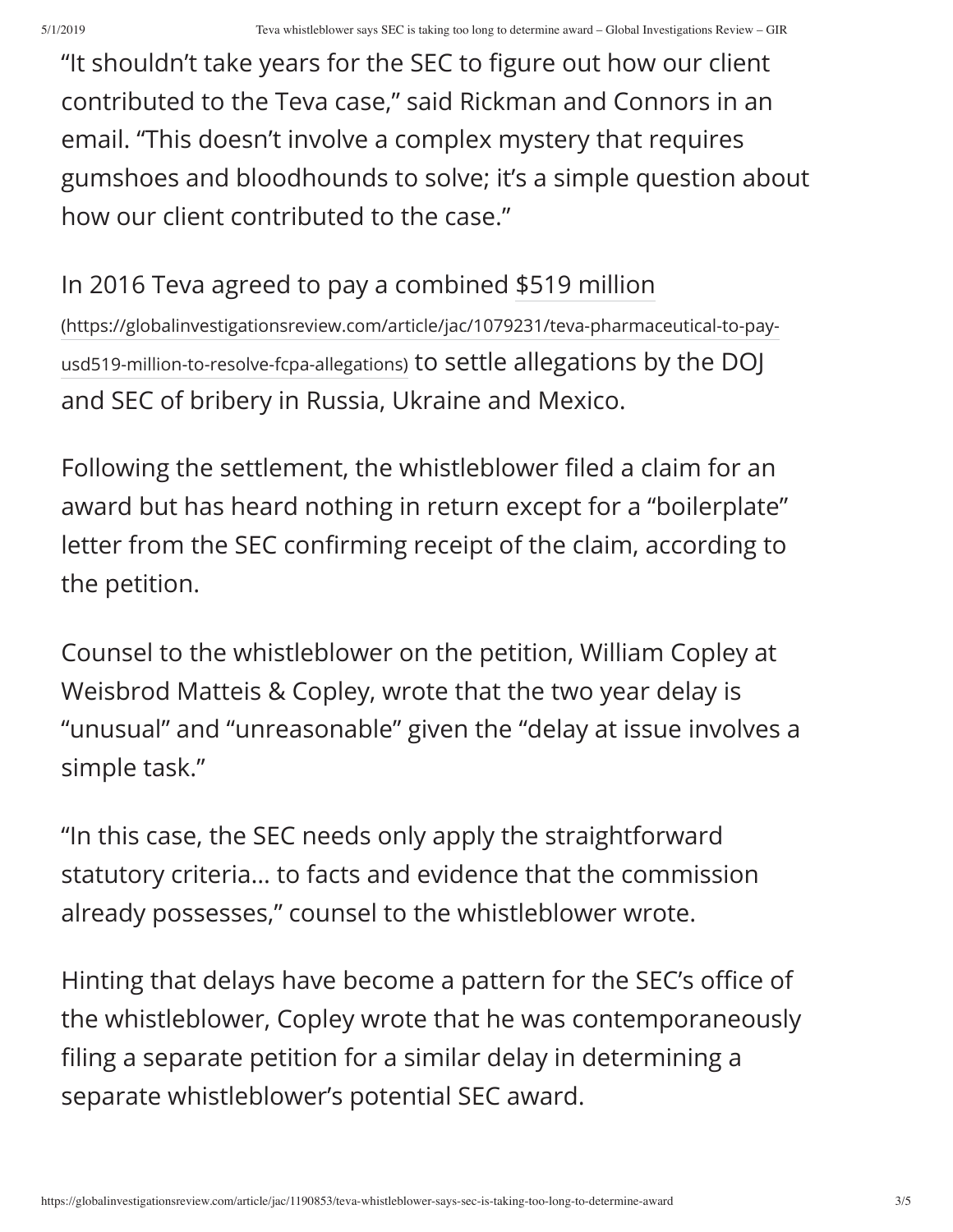"It shouldn't take years for the SEC to figure out how our client contributed to the Teva case," said Rickman and Connors in an email. "This doesn't involve a complex mystery that requires gumshoes and bloodhounds to solve; it's a simple question about how our client contributed to the case."

### In 2016 Teva agreed to pay a combined \$519 million

(https://globalinvestigationsreview.com/article/jac/1079231/teva-pharmaceutical-to-payusd519-million-to-resolve-fcpa-allegations) to settle allegations by the DOJ and SEC of bribery in Russia, Ukraine and Mexico.

Following the settlement, the whistleblower filed a claim for an award but has heard nothing in return except for a "boilerplate" letter from the SEC confirming receipt of the claim, according to the petition.

Counsel to the whistleblower on the petition, William Copley at Weisbrod Matteis & Copley, wrote that the two year delay is "unusual" and "unreasonable" given the "delay at issue involves a simple task."

"In this case, the SEC needs only apply the straightforward statutory criteria… to facts and evidence that the commission already possesses," counsel to the whistleblower wrote.

Hinting that delays have become a pattern for the SEC's office of the whistleblower, Copley wrote that he was contemporaneously filing a separate petition for a similar delay in determining a separate whistleblower's potential SEC award.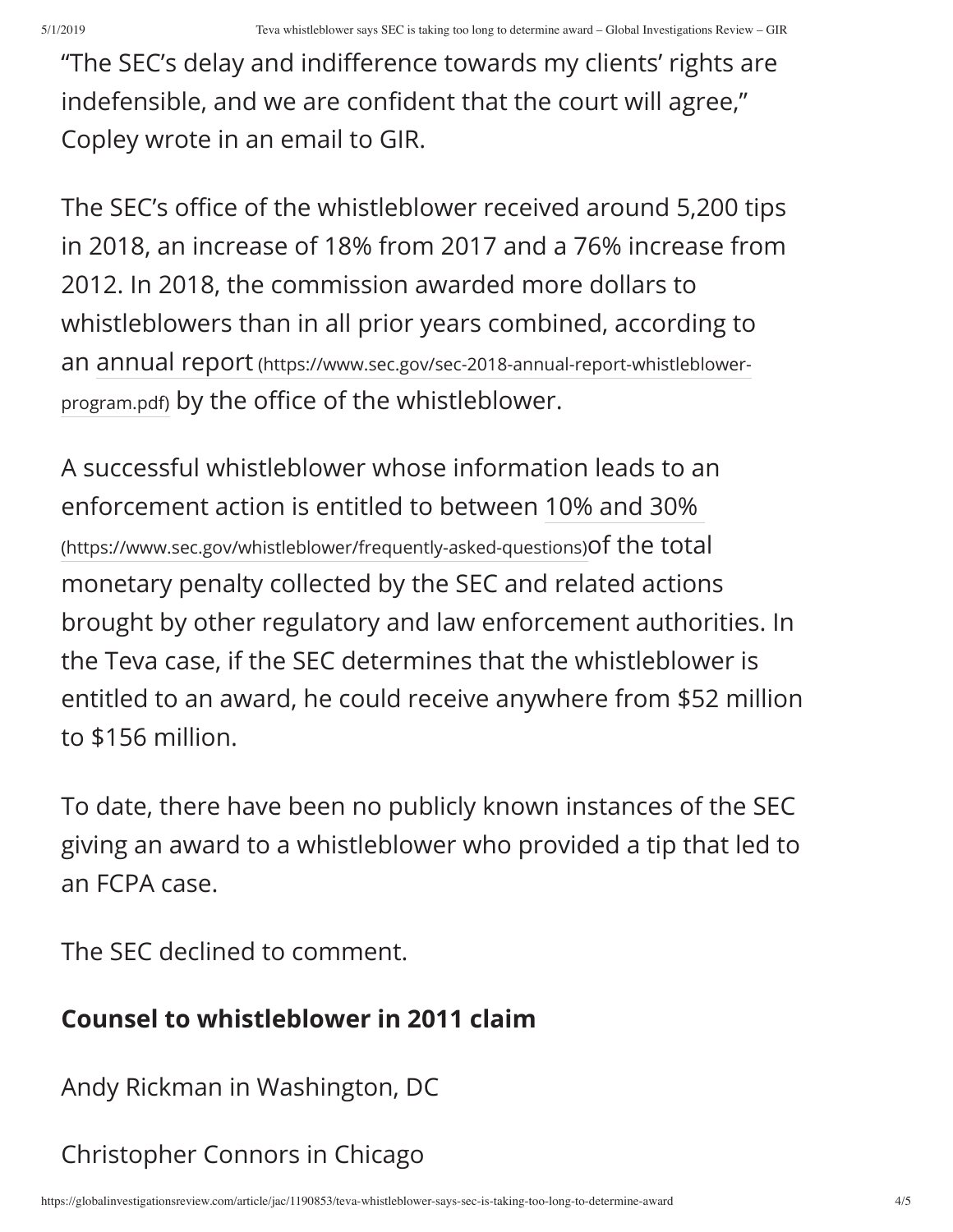"The SEC's delay and indifference towards my clients' rights are indefensible, and we are confident that the court will agree," Copley wrote in an email to GIR.

The SEC's office of the whistleblower received around 5,200 tips in 2018, an increase of 18% from 2017 and a 76% increase from 2012. In 2018, the commission awarded more dollars to whistleblowers than in all prior years combined, according to an annual report (https://www.sec.gov/sec-2018-annual-report-whistleblowerprogram.pdf) by the office of the whistleblower.

A successful whistleblower whose information leads to an enforcement action is entitled to between 10% and 30% (https://www.sec.gov/whistleblower/frequently-asked-questions)of the total monetary penalty collected by the SEC and related actions brought by other regulatory and law enforcement authorities. In the Teva case, if the SEC determines that the whistleblower is entitled to an award, he could receive anywhere from \$52 million to \$156 million.

To date, there have been no publicly known instances of the SEC giving an award to a whistleblower who provided a tip that led to an FCPA case.

The SEC declined to comment.

# **Counsel to whistleblower in 2011 claim**

Andy Rickman in Washington, DC

# Christopher Connors in Chicago